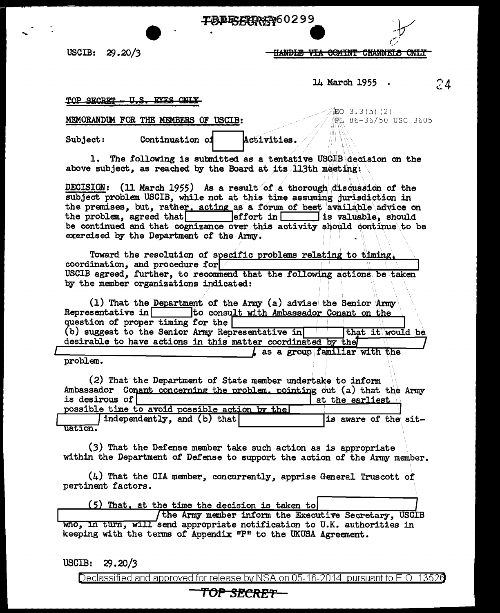**TBERGRAT60299** 

USCIB: 29.20/3

<del>HANDLE VIA COMINT CHANNELS ONLY</del>

14 March 1955 .

24

TOP SECRET <u>U.S. EYES ONLY</u>

MEMORANDUM FOR THE MEMBERS OF USCIB:

Continuation of

Subject:

缸O 3.3(h)(2) PL 86-36/50 USC 3605

1. The following is submitted as a tentative USCIB decision on the above subject, as reached by the Board at its 113th meeting:

Activities.

DECISION: (11 March 1955) As a result of a thorough discussion of the subject problem USCIB, while not at this time assuming jurisdiction in the premises, but, rather, acting as a forum of best available advice on the problem, agreed that effort in is valuable, should be continued and that cognizance over this activity should continue to be exercised by the Department of the Army.

Toward the resolution of specific problems relating to timing. coordination, and procedure for  $\sim$ USCIB agreed, further, to recommend that the following actions be taken by the member organizations indicated:

 $(1)$  That the Department of the Army  $(a)$  advise the Senior Army  $Representative$  in to consult with Ambassador Conant on the question of proper timing for the (b) suggest to the Senior Army Representative in that it would be desirable to have actions in this matter coordinated by the

as a group familiar with the

problem.

uation.

(2) That the Department of State member undertake to inform Ambassador Conant concerning the problem, pointing out (a) that the Army is desirous of at the earliest possible time to avoid possible action by the independently, and (b) that is aware of the sit-

(3) That the Defense member take such action as is appropriate within the Department of Defense to support the action of the Army member.

 $(4)$  That the CIA member, concurrently, apprise General Truscott of pertinent factors.

(5) That, at the time the decision is taken to

(the Army member inform the Executive Secretary, USCIB who, in turn, will send appropriate notification to U.K. authorities in keeping with the terms of Appendix "P" to the UKUSA Agreement.

**USCIB:**  $29.20/3$ 

Declassified and approved for release by NSA on 05-16-2014 pursuant to E.O. 13526

## TOP SECRET—